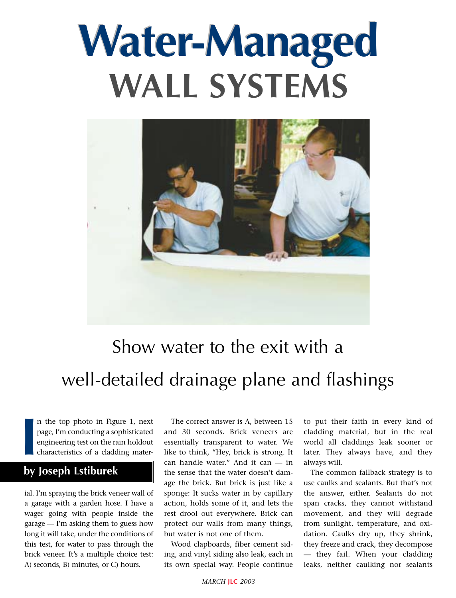# **Water-Managed Water-Managed WALL SYSTEMS WALL SYSTEMS**



# Show water to the exit with a well-detailed drainage plane and flashings

**I** n the top photo in Figure 1, next page, I'm conducting a sophisticated engineering test on the rain holdout characteristics of a cladding mater-

### **by Joseph Lstiburek**

ial. I'm spraying the brick veneer wall of a garage with a garden hose. I have a wager going with people inside the garage — I'm asking them to guess how long it will take, under the conditions of this test, for water to pass through the brick veneer. It's a multiple choice test: A) seconds, B) minutes, or C) hours.

The correct answer is A, between 15 and 30 seconds. Brick veneers are essentially transparent to water. We like to think, "Hey, brick is strong. It can handle water." And it can — in the sense that the water doesn't damage the brick. But brick is just like a sponge: It sucks water in by capillary action, holds some of it, and lets the rest drool out everywhere. Brick can protect our walls from many things, but water is not one of them.

Wood clapboards, fiber cement siding, and vinyl siding also leak, each in its own special way. People continue

to put their faith in every kind of cladding material, but in the real world all claddings leak sooner or later. They always have, and they always will.

The common fallback strategy is to use caulks and sealants. But that's not the answer, either. Sealants do not span cracks, they cannot withstand movement, and they will degrade from sunlight, temperature, and oxidation. Caulks dry up, they shrink, they freeze and crack, they decompose — they fail. When your cladding leaks, neither caulking nor sealants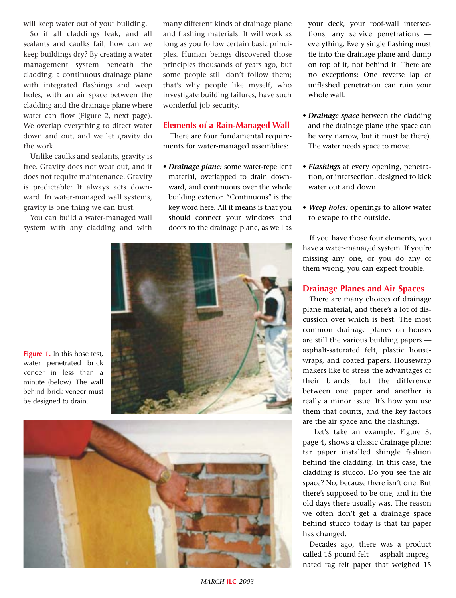will keep water out of your building.

So if all claddings leak, and all sealants and caulks fail, how can we keep buildings dry? By creating a water management system beneath the cladding: a continuous drainage plane with integrated flashings and weep holes, with an air space between the cladding and the drainage plane where water can flow (Figure 2, next page). We overlap everything to direct water down and out, and we let gravity do the work.

Unlike caulks and sealants, gravity is free. Gravity does not wear out, and it does not require maintenance. Gravity is predictable: It always acts downward. In water-managed wall systems, gravity is one thing we can trust.

You can build a water-managed wall system with any cladding and with many different kinds of drainage plane and flashing materials. It will work as long as you follow certain basic principles. Human beings discovered those principles thousands of years ago, but some people still don't follow them; that's why people like myself, who investigate building failures, have such wonderful job security.

#### **Elements of a Rain-Managed Wall**

There are four fundamental requirements for water-managed assemblies:

• *Drainage plane:* some water-repellent material, overlapped to drain downward, and continuous over the whole building exterior. "Continuous" is the key word here. All it means is that you should connect your windows and doors to the drainage plane, as well as



**Figure 1.** In this hose test, water penetrated brick veneer in less than a minute (below). The wall behind brick veneer must be designed to drain.



your deck, your roof-wall intersections, any service penetrations everything. Every single flashing must tie into the drainage plane and dump on top of it, not behind it. There are no exceptions: One reverse lap or unflashed penetration can ruin your whole wall.

- *Drainage space* between the cladding and the drainage plane (the space can be very narrow, but it must be there). The water needs space to move.
- *Flashings* at every opening, penetration, or intersection, designed to kick water out and down.
- *Weep holes:* openings to allow water to escape to the outside.

If you have those four elements, you have a water-managed system. If you're missing any one, or you do any of them wrong, you can expect trouble.

#### **Drainage Planes and Air Spaces**

There are many choices of drainage plane material, and there's a lot of discussion over which is best. The most common drainage planes on houses are still the various building papers asphalt-saturated felt, plastic housewraps, and coated papers. Housewrap makers like to stress the advantages of their brands, but the difference between one paper and another is really a minor issue. It's how you use them that counts, and the key factors are the air space and the flashings.

Let's take an example. Figure 3, page 4, shows a classic drainage plane: tar paper installed shingle fashion behind the cladding. In this case, the cladding is stucco. Do you see the air space? No, because there isn't one. But there's supposed to be one, and in the old days there usually was. The reason we often don't get a drainage space behind stucco today is that tar paper has changed.

Decades ago, there was a product called 15-pound felt — asphalt-impregnated rag felt paper that weighed 15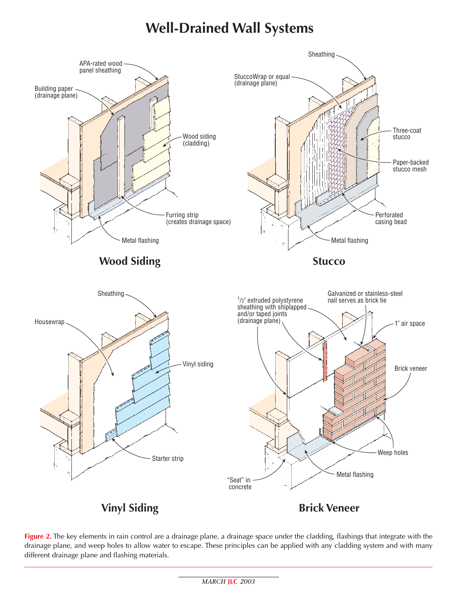# **Well-Drained Wall Systems**



**Figure 2.** The key elements in rain control are a drainage plane, a drainage space under the cladding, flashings that integrate with the drainage plane, and weep holes to allow water to escape. These principles can be applied with any cladding system and with many different drainage plane and flashing materials.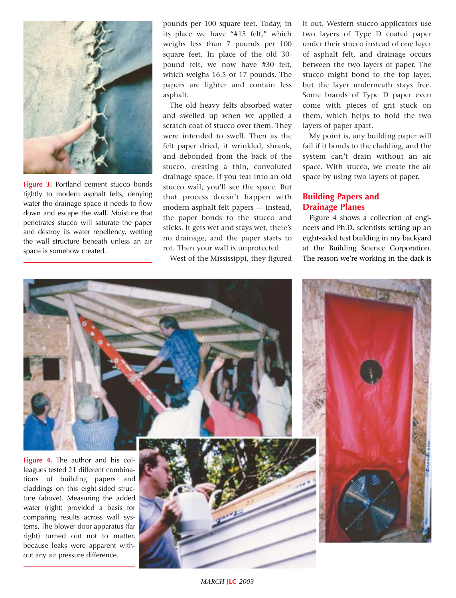

**Figure 3.** Portland cement stucco bonds tightly to modern asphalt felts, denying water the drainage space it needs to flow down and escape the wall. Moisture that penetrates stucco will saturate the paper and destroy its water repellency, wetting the wall structure beneath unless an air space is somehow created.

pounds per 100 square feet. Today, in its place we have "#15 felt," which weighs less than 7 pounds per 100 square feet. In place of the old 30 pound felt, we now have #30 felt, which weighs 16.5 or 17 pounds. The papers are lighter and contain less asphalt.

The old heavy felts absorbed water and swelled up when we applied a scratch coat of stucco over them. They were intended to swell. Then as the felt paper dried, it wrinkled, shrank, and debonded from the back of the stucco, creating a thin, convoluted drainage space. If you tear into an old stucco wall, you'll see the space. But that process doesn't happen with modern asphalt felt papers — instead, the paper bonds to the stucco and sticks. It gets wet and stays wet, there's no drainage, and the paper starts to rot. Then your wall is unprotected.

West of the Mississippi, they figured

it out. Western stucco applicators use two layers of Type D coated paper under their stucco instead of one layer of asphalt felt, and drainage occurs between the two layers of paper. The stucco might bond to the top layer, but the layer underneath stays free. Some brands of Type D paper even come with pieces of grit stuck on them, which helps to hold the two layers of paper apart.

My point is, any building paper will fail if it bonds to the cladding, and the system can't drain without an air space. With stucco, we create the air space by using two layers of paper.

#### **Building Papers and Drainage Planes**

Figure 4 shows a collection of engineers and Ph.D. scientists setting up an eight-sided test building in my backyard at the Building Science Corporation. The reason we're working in the dark is

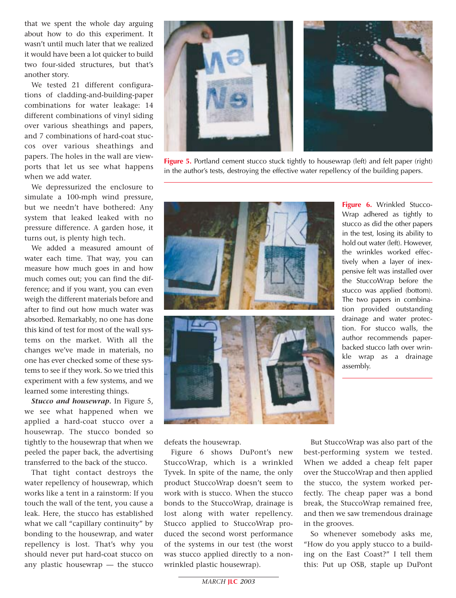that we spent the whole day arguing about how to do this experiment. It wasn't until much later that we realized it would have been a lot quicker to build two four-sided structures, but that's another story.

We tested 21 different configurations of cladding-and-building-paper combinations for water leakage: 14 different combinations of vinyl siding over various sheathings and papers, and 7 combinations of hard-coat stuccos over various sheathings and papers. The holes in the wall are viewports that let us see what happens when we add water.

We depressurized the enclosure to simulate a 100-mph wind pressure, but we needn't have bothered: Any system that leaked leaked with no pressure difference. A garden hose, it turns out, is plenty high tech.

We added a measured amount of water each time. That way, you can measure how much goes in and how much comes out; you can find the difference; and if you want, you can even weigh the different materials before and after to find out how much water was absorbed. Remarkably, no one has done this kind of test for most of the wall systems on the market. With all the changes we've made in materials, no one has ever checked some of these systems to see if they work. So we tried this experiment with a few systems, and we learned some interesting things.

*Stucco and housewrap.* In Figure 5, we see what happened when we applied a hard-coat stucco over a housewrap. The stucco bonded so tightly to the housewrap that when we peeled the paper back, the advertising transferred to the back of the stucco.

That tight contact destroys the water repellency of housewrap, which works like a tent in a rainstorm: If you touch the wall of the tent, you cause a leak. Here, the stucco has established what we call "capillary continuity" by bonding to the housewrap, and water repellency is lost. That's why you should never put hard-coat stucco on any plastic housewrap — the stucco



Figure 5. Portland cement stucco stuck tightly to housewrap (left) and felt paper (right) in the author's tests, destroying the effective water repellency of the building papers.



**Figure 6.** Wrinkled Stucco-Wrap adhered as tightly to stucco as did the other papers in the test, losing its ability to hold out water (left). However, the wrinkles worked effectively when a layer of inexpensive felt was installed over the StuccoWrap before the stucco was applied (bottom). The two papers in combination provided outstanding drainage and water protection. For stucco walls, the author recommends paperbacked stucco lath over wrinkle wrap as a drainage assembly.

defeats the housewrap.

Figure 6 shows DuPont's new StuccoWrap, which is a wrinkled Tyvek. In spite of the name, the only product StuccoWrap doesn't seem to work with is stucco. When the stucco. bonds to the StuccoWrap, drainage is lost along with water repellency. Stucco applied to StuccoWrap produced the second worst performance of the systems in our test (the worst was stucco applied directly to a nonwrinkled plastic housewrap).

But StuccoWrap was also part of the best-performing system we tested. When we added a cheap felt paper over the StuccoWrap and then applied the stucco, the system worked perfectly. The cheap paper was a bond break, the StuccoWrap remained free, and then we saw tremendous drainage in the grooves.

So whenever somebody asks me, "How do you apply stucco to a building on the East Coast?" I tell them this: Put up OSB, staple up DuPont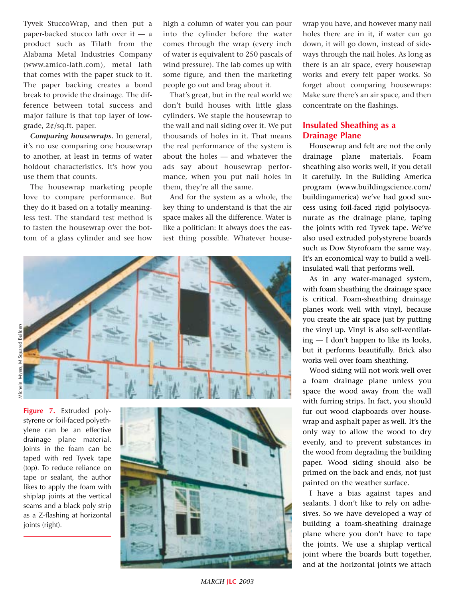Tyvek StuccoWrap, and then put a paper-backed stucco lath over it — a product such as Tilath from the Alabama Metal Industries Company (www.amico-lath.com), metal lath that comes with the paper stuck to it. The paper backing creates a bond break to provide the drainage. The difference between total success and major failure is that top layer of lowgrade, 2¢/sq.ft. paper.

*Comparing housewraps.* In general, it's no use comparing one housewrap to another, at least in terms of water holdout characteristics. It's how you use them that counts.

The housewrap marketing people love to compare performance. But they do it based on a totally meaningless test. The standard test method is to fasten the housewrap over the bottom of a glass cylinder and see how high a column of water you can pour into the cylinder before the water comes through the wrap (every inch of water is equivalent to 250 pascals of wind pressure). The lab comes up with some figure, and then the marketing people go out and brag about it.

That's great, but in the real world we don't build houses with little glass cylinders. We staple the housewrap to the wall and nail siding over it. We put thousands of holes in it. That means the real performance of the system is about the holes — and whatever the ads say about housewrap performance, when you put nail holes in them, they're all the same.

And for the system as a whole, the key thing to understand is that the air space makes all the difference. Water is like a politician: It always does the easiest thing possible. Whatever house-



**Figure 7.** Extruded polystyrene or foil-faced polyethylene can be an effective drainage plane material. Joints in the foam can be taped with red Tyvek tape (top). To reduce reliance on tape or sealant, the author likes to apply the foam with shiplap joints at the vertical seams and a black poly strip as a Z-flashing at horizontal joints (right).



wrap you have, and however many nail holes there are in it, if water can go down, it will go down, instead of sideways through the nail holes. As long as there is an air space, every housewrap works and every felt paper works. So forget about comparing housewraps: Make sure there's an air space, and then concentrate on the flashings.

#### **Insulated Sheathing as a Drainage Plane**

Housewrap and felt are not the only drainage plane materials. Foam sheathing also works well, if you detail it carefully. In the Building America program (www.buildingscience.com/ buildingamerica) we've had good success using foil-faced rigid polyisocyanurate as the drainage plane, taping the joints with red Tyvek tape. We've also used extruded polystyrene boards such as Dow Styrofoam the same way. It's an economical way to build a wellinsulated wall that performs well.

As in any water-managed system, with foam sheathing the drainage space is critical. Foam-sheathing drainage planes work well with vinyl, because you create the air space just by putting the vinyl up. Vinyl is also self-ventilating — I don't happen to like its looks, but it performs beautifully. Brick also works well over foam sheathing.

Wood siding will not work well over a foam drainage plane unless you space the wood away from the wall with furring strips. In fact, you should fur out wood clapboards over housewrap and asphalt paper as well. It's the only way to allow the wood to dry evenly, and to prevent substances in the wood from degrading the building paper. Wood siding should also be primed on the back and ends, not just painted on the weather surface.

I have a bias against tapes and sealants. I don't like to rely on adhesives. So we have developed a way of building a foam-sheathing drainage plane where you don't have to tape the joints. We use a shiplap vertical joint where the boards butt together, and at the horizontal joints we attach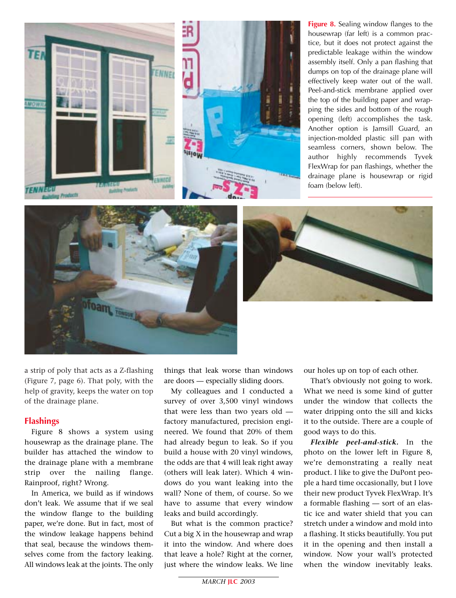

**Figure 8.** Sealing window flanges to the housewrap (far left) is a common practice, but it does not protect against the predictable leakage within the window assembly itself. Only a pan flashing that dumps on top of the drainage plane will effectively keep water out of the wall. Peel-and-stick membrane applied over the top of the building paper and wrapping the sides and bottom of the rough opening (left) accomplishes the task. Another option is Jamsill Guard, an injection-molded plastic sill pan with seamless corners, shown below. The author highly recommends Tyvek FlexWrap for pan flashings, whether the drainage plane is housewrap or rigid foam (below left).



a strip of poly that acts as a Z-flashing (Figure 7, page 6). That poly, with the help of gravity, keeps the water on top of the drainage plane.

#### **Flashings**

Figure 8 shows a system using housewrap as the drainage plane. The builder has attached the window to the drainage plane with a membrane strip over the nailing flange. Rainproof, right? Wrong.

In America, we build as if windows don't leak. We assume that if we seal the window flange to the building paper, we're done. But in fact, most of the window leakage happens behind that seal, because the windows themselves come from the factory leaking. All windows leak at the joints. The only things that leak worse than windows are doors — especially sliding doors.

My colleagues and I conducted a survey of over 3,500 vinyl windows that were less than two years old factory manufactured, precision engineered. We found that 20% of them had already begun to leak. So if you build a house with 20 vinyl windows, the odds are that 4 will leak right away (others will leak later). Which 4 windows do you want leaking into the wall? None of them, of course. So we have to assume that every window leaks and build accordingly.

But what is the common practice? Cut a big X in the housewrap and wrap it into the window. And where does that leave a hole? Right at the corner, just where the window leaks. We line

our holes up on top of each other.

That's obviously not going to work. What we need is some kind of gutter under the window that collects the water dripping onto the sill and kicks it to the outside. There are a couple of good ways to do this.

*Flexible peel-and-stick.* In the photo on the lower left in Figure 8, we're demonstrating a really neat product. I like to give the DuPont people a hard time occasionally, but I love their new product Tyvek FlexWrap. It's a formable flashing — sort of an elastic ice and water shield that you can stretch under a window and mold into a flashing. It sticks beautifully. You put it in the opening and then install a window. Now your wall's protected when the window inevitably leaks.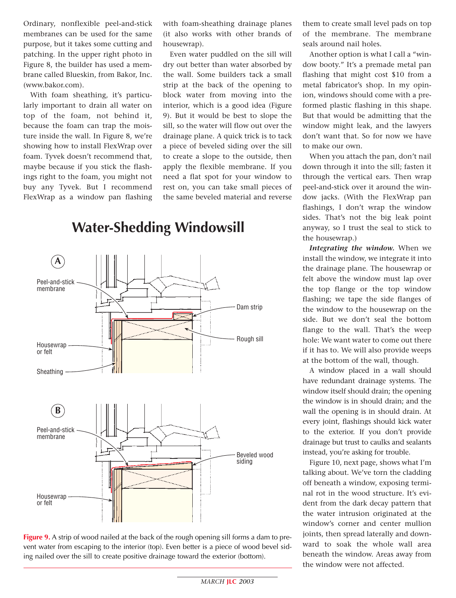Ordinary, nonflexible peel-and-stick membranes can be used for the same purpose, but it takes some cutting and patching. In the upper right photo in Figure 8, the builder has used a membrane called Blueskin, from Bakor, Inc. (www.bakor.com).

With foam sheathing, it's particularly important to drain all water on top of the foam, not behind it, because the foam can trap the moisture inside the wall. In Figure 8, we're showing how to install FlexWrap over foam. Tyvek doesn't recommend that, maybe because if you stick the flashings right to the foam, you might not buy any Tyvek. But I recommend FlexWrap as a window pan flashing with foam-sheathing drainage planes (it also works with other brands of housewrap).

Even water puddled on the sill will dry out better than water absorbed by the wall. Some builders tack a small strip at the back of the opening to block water from moving into the interior, which is a good idea (Figure 9). But it would be best to slope the sill, so the water will flow out over the drainage plane. A quick trick is to tack a piece of beveled siding over the sill to create a slope to the outside, then apply the flexible membrane. If you need a flat spot for your window to rest on, you can take small pieces of the same beveled material and reverse

# **Water-Shedding Windowsill**





them to create small level pads on top of the membrane. The membrane seals around nail holes.

Another option is what I call a "window booty." It's a premade metal pan flashing that might cost \$10 from a metal fabricator's shop. In my opinion, windows should come with a preformed plastic flashing in this shape. But that would be admitting that the window might leak, and the lawyers don't want that. So for now we have to make our own.

When you attach the pan, don't nail down through it into the sill; fasten it through the vertical ears. Then wrap peel-and-stick over it around the window jacks. (With the FlexWrap pan flashings, I don't wrap the window sides. That's not the big leak point anyway, so I trust the seal to stick to the housewrap.)

*Integrating the window.* When we install the window, we integrate it into the drainage plane. The housewrap or felt above the window must lap over the top flange or the top window flashing; we tape the side flanges of the window to the housewrap on the side. But we don't seal the bottom flange to the wall. That's the weep hole: We want water to come out there if it has to. We will also provide weeps at the bottom of the wall, though.

A window placed in a wall should have redundant drainage systems. The window itself should drain; the opening the window is in should drain; and the wall the opening is in should drain. At every joint, flashings should kick water to the exterior. If you don't provide drainage but trust to caulks and sealants instead, you're asking for trouble.

Figure 10, next page, shows what I'm talking about. We've torn the cladding off beneath a window, exposing terminal rot in the wood structure. It's evident from the dark decay pattern that the water intrusion originated at the window's corner and center mullion joints, then spread laterally and downward to soak the whole wall area beneath the window. Areas away from the window were not affected.